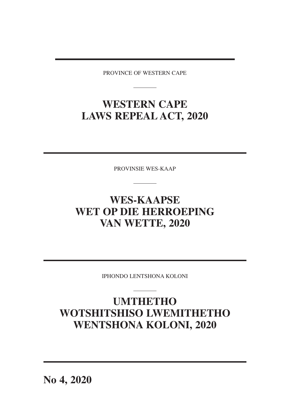PROVINCE OF WESTERN CAPE

## **WESTERN CAPE LAWS REPEAL ACT, 2020**

PROVINSIE WES-KAAP

# **WES-KAAPSE WET OP DIE HERROEPING VAN WETTE, 2020**

IPHONDO LENTSHONA KOLONI

# **UMTHETHO WOTSHITSHISO LWEMITHETHO WENTSHONA KOLONI, 2020**

**No 4, 2020**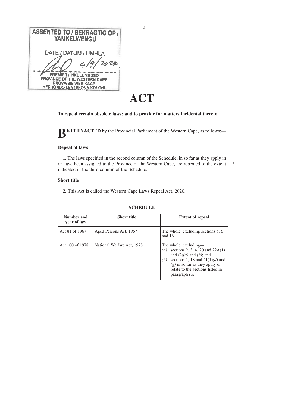| <b>ASSENTED TO / BEKRAGTIG OP /</b><br><b>YAMKELWENGU</b>                                                              |
|------------------------------------------------------------------------------------------------------------------------|
| DATE / DATUM / UMHLA<br>2028<br>4/9                                                                                    |
| <b>PREMIER / INKULUMBUSO</b><br>PROVINCE OF THE WESTERN CAPE<br><b>PROVINSIE WES-KAAP</b><br>YEPHONDO LENTSHONA KOLONI |

# **ACT**

### **To repeal certain obsolete laws; and to provide for matters incidental thereto.**

**BE IT ENACTED** by the Provincial Parliament of the Western Cape, as follows:—

### **Repeal of laws**

**1.** The laws specified in the second column of the Schedule, in so far as they apply in or have been assigned to the Province of the Western Cape, are repealed to the extent 5indicated in the third column of the Schedule.

### **Short title**

**2.** This Act is called the Western Cape Laws Repeal Act, 2020.

| Number and<br>year of law | <b>Short title</b>         | <b>Extent of repeal</b>                                                                                                                                                                                                                    |
|---------------------------|----------------------------|--------------------------------------------------------------------------------------------------------------------------------------------------------------------------------------------------------------------------------------------|
| Act 81 of 1967            | Aged Persons Act, 1967     | The whole, excluding sections 5, 6<br>and $16$                                                                                                                                                                                             |
| Act 100 of 1978           | National Welfare Act, 1978 | The whole, excluding—<br>sections 2, 3, 4, 20 and $22A(1)$<br>(a)<br>and $(2)(a)$ and $(b)$ ; and<br>sections 1, 18 and $21(1)(d)$ and<br>(b)<br>$(g)$ in so far as they apply or<br>relate to the sections listed in<br>paragraph $(a)$ . |

#### **SCHEDULE**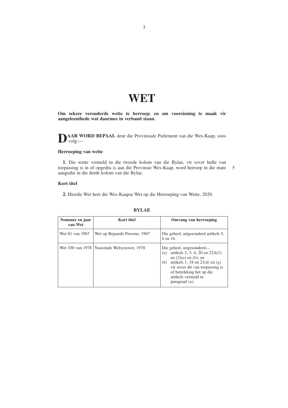# **WET**

**Om sekere verouderde wette te herroep; en om voorsiening te maak vir aangeleenthede wat daarmee in verband staan.**

**DAAR WORD BEPAAL** deur die Provinsiale Parlement van die Wes-Kaap, soos volg:—

### **Herroeping van wette**

**1.** Die wette vermeld in die tweede kolom van die Bylae, vir sover hulle van toepassing is in of opgedra is aan die Provinsie Wes-Kaap, word herroep in die mate aangedui in die derde kolom van die Bylae. 5

#### **Kort titel**

**2.** Hierdie Wet heet die Wes-Kaapse Wet op die Herroeping van Wette, 2020.

| Nommer en jaar<br>van Wet | Kort titel                                    | Omvang van herroeping                                                                                                                                                                                                                                      |
|---------------------------|-----------------------------------------------|------------------------------------------------------------------------------------------------------------------------------------------------------------------------------------------------------------------------------------------------------------|
| Wet 81 van 1967           | Wet op Bejaarde Persone, 1967                 | Die geheel, uitgesonderd artikels 5,<br>6 en 16                                                                                                                                                                                                            |
|                           | Wet 100 van 1978   Nasionale Welsynswet, 1978 | Die geheel, uitgesonderd—<br>artikels 2, 3, 4, 20 en $22A(1)$<br>(a)<br>en $(2)(a)$ en $(b)$ ; en<br>artikels 1, 18 en 21 $(d)$ en $(g)$<br>(b)<br>vir sover dit van toepassing is<br>of betrekking het op die<br>artikels vermeld in<br>paragraaf $(a)$ . |

### **BYLAE**